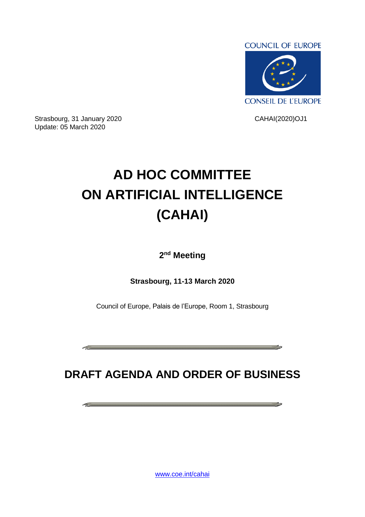

Strasbourg, 31 January 2020 CAHAI(2020)OJ1 Update: 05 March 2020

 $\mathcal{L}^{\text{max}}$  . The contract of  $\mathcal{L}^{\text{max}}$ 

## **AD HOC COMMITTEE ON ARTIFICIAL INTELLIGENCE (CAHAI)**

**2 nd Meeting**

**Strasbourg, 11-13 March 2020**

Council of Europe, Palais de l'Europe, Room 1, Strasbourg

**DRAFT AGENDA AND ORDER OF BUSINESS**

<u> 1989 - Andrea Stadt Stadt Stadt Stadt Stadt Stadt Stadt Stadt Stadt Stadt Stadt Stadt Stadt Stadt Stadt Stadt</u>

وماست المستنبذ والمستنبذ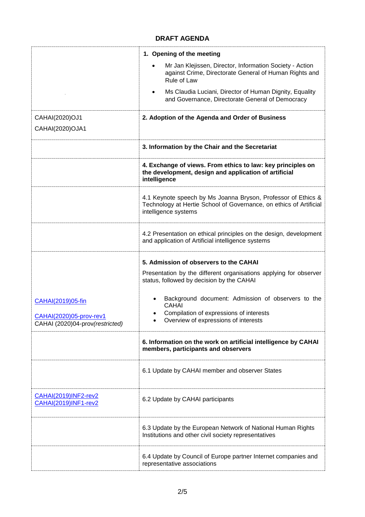## **DRAFT AGENDA**

|                                                            | 1. Opening of the meeting                                                                                                                                   |  |
|------------------------------------------------------------|-------------------------------------------------------------------------------------------------------------------------------------------------------------|--|
|                                                            | Mr Jan Klejissen, Director, Information Society - Action<br>against Crime, Directorate General of Human Rights and<br>Rule of Law                           |  |
|                                                            | Ms Claudia Luciani, Director of Human Dignity, Equality<br>$\bullet$<br>and Governance, Directorate General of Democracy                                    |  |
| CAHAI(2020)OJ1                                             | 2. Adoption of the Agenda and Order of Business                                                                                                             |  |
| CAHAI(2020)OJA1                                            |                                                                                                                                                             |  |
|                                                            | 3. Information by the Chair and the Secretariat                                                                                                             |  |
|                                                            | 4. Exchange of views. From ethics to law: key principles on<br>the development, design and application of artificial<br>intelligence                        |  |
|                                                            | 4.1 Keynote speech by Ms Joanna Bryson, Professor of Ethics &<br>Technology at Hertie School of Governance, on ethics of Artificial<br>intelligence systems |  |
|                                                            | 4.2 Presentation on ethical principles on the design, development<br>and application of Artificial intelligence systems                                     |  |
|                                                            | 5. Admission of observers to the CAHAI                                                                                                                      |  |
|                                                            | Presentation by the different organisations applying for observer<br>status, followed by decision by the CAHAI                                              |  |
| CAHAI(2019)05-fin                                          | Background document: Admission of observers to the<br><b>CAHAI</b>                                                                                          |  |
| CAHAI(2020)05-prov-rev1<br>CAHAI (2020)04-prov(restricted) | Compilation of expressions of interests<br>Overview of expressions of interests                                                                             |  |
|                                                            | 6. Information on the work on artificial intelligence by CAHAI<br>members, participants and observers                                                       |  |
|                                                            | 6.1 Update by CAHAI member and observer States                                                                                                              |  |
| <b>CAHAI(2019)INF2-rev2</b><br>CAHAI(2019)INF1-rev2        | 6.2 Update by CAHAI participants                                                                                                                            |  |
|                                                            | 6.3 Update by the European Network of National Human Rights<br>Institutions and other civil society representatives                                         |  |
|                                                            | 6.4 Update by Council of Europe partner Internet companies and<br>representative associations                                                               |  |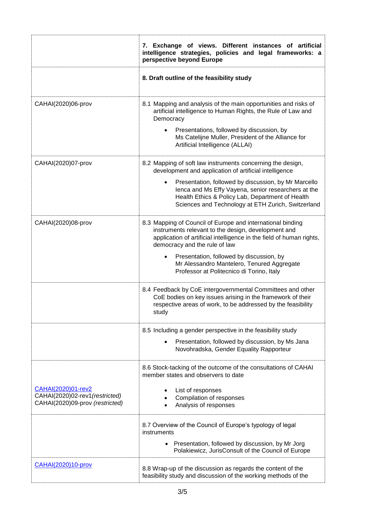|                                                                                         | 7. Exchange of views. Different instances of artificial<br>intelligence strategies, policies and legal frameworks: a<br>perspective beyond Europe                                                                          |
|-----------------------------------------------------------------------------------------|----------------------------------------------------------------------------------------------------------------------------------------------------------------------------------------------------------------------------|
|                                                                                         | 8. Draft outline of the feasibility study                                                                                                                                                                                  |
| CAHAI(2020)06-prov                                                                      | 8.1 Mapping and analysis of the main opportunities and risks of<br>artificial intelligence to Human Rights, the Rule of Law and<br>Democracy                                                                               |
|                                                                                         | Presentations, followed by discussion, by<br>Ms Catelijne Muller, President of the Alliance for<br>Artificial Intelligence (ALLAI)                                                                                         |
| CAHAI(2020)07-prov                                                                      | 8.2 Mapping of soft law instruments concerning the design,<br>development and application of artificial intelligence                                                                                                       |
|                                                                                         | Presentation, followed by discussion, by Mr Marcello<br>lenca and Ms Effy Vayena, senior researchers at the<br>Health Ethics & Policy Lab, Department of Health<br>Sciences and Technology at ETH Zurich, Switzerland      |
| CAHAI(2020)08-prov                                                                      | 8.3 Mapping of Council of Europe and international binding<br>instruments relevant to the design, development and<br>application of artificial intelligence in the field of human rights,<br>democracy and the rule of law |
|                                                                                         | Presentation, followed by discussion, by<br>Mr Alessandro Mantelero, Tenured Aggregate<br>Professor at Politecnico di Torino, Italy                                                                                        |
|                                                                                         | 8.4 Feedback by CoE intergovernmental Committees and other<br>CoE bodies on key issues arising in the framework of their<br>respective areas of work, to be addressed by the feasibility<br>study                          |
|                                                                                         | 8.5 Including a gender perspective in the feasibility study                                                                                                                                                                |
|                                                                                         | Presentation, followed by discussion, by Ms Jana<br>Novohradska, Gender Equality Rapporteur                                                                                                                                |
|                                                                                         | 8.6 Stock-tacking of the outcome of the consultations of CAHAI<br>member states and observers to date                                                                                                                      |
| CAHAI(2020)01-rev2<br>CAHAI(2020)02-rev1(restricted)<br>CAHAI(2020)09-prov (restricted) | List of responses<br>Compilation of responses<br>Analysis of responses                                                                                                                                                     |
|                                                                                         | 8.7 Overview of the Council of Europe's typology of legal<br>instruments                                                                                                                                                   |
|                                                                                         | • Presentation, followed by discussion, by Mr Jorg<br>Polakiewicz, JurisConsult of the Council of Europe                                                                                                                   |
| <b>CAHAI(2020)10-prov</b>                                                               | 8.8 Wrap-up of the discussion as regards the content of the<br>feasibility study and discussion of the working methods of the                                                                                              |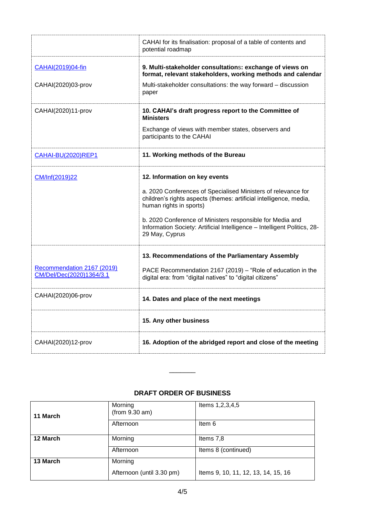|                                                        | CAHAI for its finalisation: proposal of a table of contents and<br>potential roadmap                                                                           |  |
|--------------------------------------------------------|----------------------------------------------------------------------------------------------------------------------------------------------------------------|--|
| CAHAI(2019)04-fin                                      | 9. Multi-stakeholder consultations: exchange of views on<br>format, relevant stakeholders, working methods and calendar                                        |  |
| CAHAI(2020)03-prov                                     | Multi-stakeholder consultations: the way forward - discussion<br>paper                                                                                         |  |
| CAHAI(2020)11-prov                                     | 10. CAHAI's draft progress report to the Committee of<br><b>Ministers</b>                                                                                      |  |
|                                                        | Exchange of views with member states, observers and<br>participants to the CAHAI                                                                               |  |
| <b>CAHAI-BU(2020)REP1</b>                              | 11. Working methods of the Bureau                                                                                                                              |  |
| CM/Inf(2019)22                                         | 12. Information on key events                                                                                                                                  |  |
|                                                        | a. 2020 Conferences of Specialised Ministers of relevance for<br>children's rights aspects (themes: artificial intelligence, media,<br>human rights in sports) |  |
|                                                        | b. 2020 Conference of Ministers responsible for Media and<br>Information Society: Artificial Intelligence - Intelligent Politics, 28-<br>29 May, Cyprus        |  |
|                                                        | 13. Recommendations of the Parliamentary Assembly                                                                                                              |  |
| Recommendation 2167 (2019)<br>CM/Del/Dec(2020)1364/3.1 | PACE Recommendation 2167 (2019) – "Role of education in the<br>digital era: from "digital natives" to "digital citizens"                                       |  |
| CAHAI(2020)06-prov                                     | 14. Dates and place of the next meetings                                                                                                                       |  |
|                                                        | 15. Any other business                                                                                                                                         |  |
| CAHAI(2020)12-prov                                     | 16. Adoption of the abridged report and close of the meeting                                                                                                   |  |

## **DRAFT ORDER OF BUSINESS**

 $\overline{\phantom{a}}$ 

| 11 March | Morning<br>(from 9.30 am) | Items 1,2,3,4,5                     |
|----------|---------------------------|-------------------------------------|
|          | Afternoon                 | Item 6                              |
| 12 March | Morning                   | Items 7,8                           |
|          | Afternoon                 | Items 8 (continued)                 |
| 13 March | Morning                   |                                     |
|          | Afternoon (until 3.30 pm) | Items 9, 10, 11, 12, 13, 14, 15, 16 |